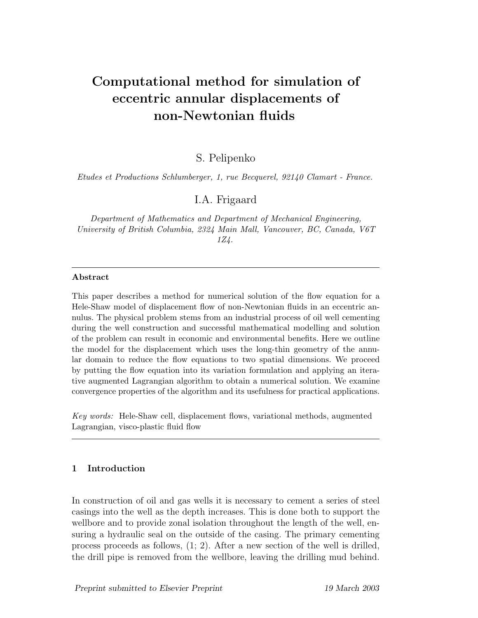# Computational method for simulation of eccentric annular displacements of non-Newtonian fluids

S. Pelipenko

Etudes et Productions Schlumberger, 1, rue Becquerel, 92140 Clamart - France.

I.A. Frigaard

Department of Mathematics and Department of Mechanical Engineering, University of British Columbia, 2324 Main Mall, Vancouver, BC, Canada, V6T 1Z4.

#### Abstract

This paper describes a method for numerical solution of the flow equation for a Hele-Shaw model of displacement flow of non-Newtonian fluids in an eccentric annulus. The physical problem stems from an industrial process of oil well cementing during the well construction and successful mathematical modelling and solution of the problem can result in economic and environmental benefits. Here we outline the model for the displacement which uses the long-thin geometry of the annular domain to reduce the flow equations to two spatial dimensions. We proceed by putting the flow equation into its variation formulation and applying an iterative augmented Lagrangian algorithm to obtain a numerical solution. We examine convergence properties of the algorithm and its usefulness for practical applications.

Key words: Hele-Shaw cell, displacement flows, variational methods, augmented Lagrangian, visco-plastic fluid flow

## 1 Introduction

In construction of oil and gas wells it is necessary to cement a series of steel casings into the well as the depth increases. This is done both to support the wellbore and to provide zonal isolation throughout the length of the well, ensuring a hydraulic seal on the outside of the casing. The primary cementing process proceeds as follows, (1; 2). After a new section of the well is drilled, the drill pipe is removed from the wellbore, leaving the drilling mud behind.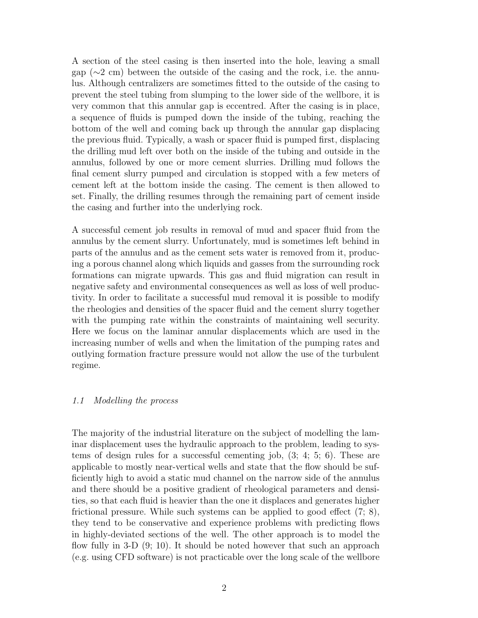A section of the steel casing is then inserted into the hole, leaving a small gap (∼2 cm) between the outside of the casing and the rock, i.e. the annulus. Although centralizers are sometimes fitted to the outside of the casing to prevent the steel tubing from slumping to the lower side of the wellbore, it is very common that this annular gap is eccentred. After the casing is in place, a sequence of fluids is pumped down the inside of the tubing, reaching the bottom of the well and coming back up through the annular gap displacing the previous fluid. Typically, a wash or spacer fluid is pumped first, displacing the drilling mud left over both on the inside of the tubing and outside in the annulus, followed by one or more cement slurries. Drilling mud follows the final cement slurry pumped and circulation is stopped with a few meters of cement left at the bottom inside the casing. The cement is then allowed to set. Finally, the drilling resumes through the remaining part of cement inside the casing and further into the underlying rock.

A successful cement job results in removal of mud and spacer fluid from the annulus by the cement slurry. Unfortunately, mud is sometimes left behind in parts of the annulus and as the cement sets water is removed from it, producing a porous channel along which liquids and gasses from the surrounding rock formations can migrate upwards. This gas and fluid migration can result in negative safety and environmental consequences as well as loss of well productivity. In order to facilitate a successful mud removal it is possible to modify the rheologies and densities of the spacer fluid and the cement slurry together with the pumping rate within the constraints of maintaining well security. Here we focus on the laminar annular displacements which are used in the increasing number of wells and when the limitation of the pumping rates and outlying formation fracture pressure would not allow the use of the turbulent regime.

### 1.1 Modelling the process

The majority of the industrial literature on the subject of modelling the laminar displacement uses the hydraulic approach to the problem, leading to systems of design rules for a successful cementing job,  $(3; 4; 5; 6)$ . These are applicable to mostly near-vertical wells and state that the flow should be sufficiently high to avoid a static mud channel on the narrow side of the annulus and there should be a positive gradient of rheological parameters and densities, so that each fluid is heavier than the one it displaces and generates higher frictional pressure. While such systems can be applied to good effect (7; 8), they tend to be conservative and experience problems with predicting flows in highly-deviated sections of the well. The other approach is to model the flow fully in 3-D  $(9; 10)$ . It should be noted however that such an approach (e.g. using CFD software) is not practicable over the long scale of the wellbore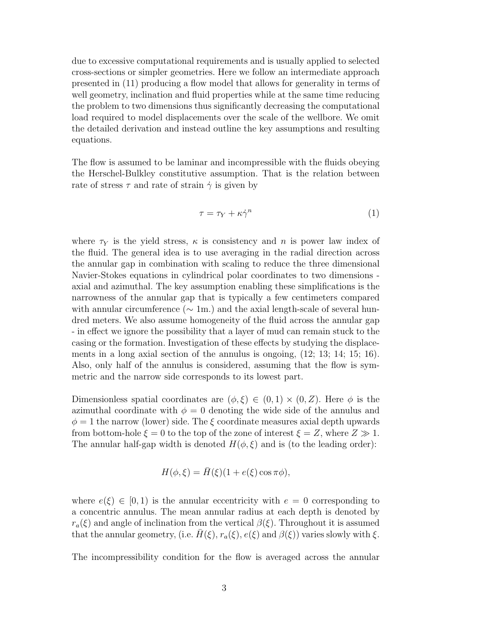due to excessive computational requirements and is usually applied to selected cross-sections or simpler geometries. Here we follow an intermediate approach presented in (11) producing a flow model that allows for generality in terms of well geometry, inclination and fluid properties while at the same time reducing the problem to two dimensions thus significantly decreasing the computational load required to model displacements over the scale of the wellbore. We omit the detailed derivation and instead outline the key assumptions and resulting equations.

The flow is assumed to be laminar and incompressible with the fluids obeying the Herschel-Bulkley constitutive assumption. That is the relation between rate of stress  $\tau$  and rate of strain  $\dot{\gamma}$  is given by

$$
\tau = \tau_Y + \kappa \dot{\gamma}^n \tag{1}
$$

where  $\tau_Y$  is the yield stress,  $\kappa$  is consistency and n is power law index of the fluid. The general idea is to use averaging in the radial direction across the annular gap in combination with scaling to reduce the three dimensional Navier-Stokes equations in cylindrical polar coordinates to two dimensions axial and azimuthal. The key assumption enabling these simplifications is the narrowness of the annular gap that is typically a few centimeters compared with annular circumference ( $\sim 1$ m.) and the axial length-scale of several hundred meters. We also assume homogeneity of the fluid across the annular gap - in effect we ignore the possibility that a layer of mud can remain stuck to the casing or the formation. Investigation of these effects by studying the displacements in a long axial section of the annulus is ongoing, (12; 13; 14; 15; 16). Also, only half of the annulus is considered, assuming that the flow is symmetric and the narrow side corresponds to its lowest part.

Dimensionless spatial coordinates are  $(\phi, \xi) \in (0, 1) \times (0, Z)$ . Here  $\phi$  is the azimuthal coordinate with  $\phi = 0$  denoting the wide side of the annulus and  $\phi = 1$  the narrow (lower) side. The  $\xi$  coordinate measures axial depth upwards from bottom-hole  $\xi = 0$  to the top of the zone of interest  $\xi = Z$ , where  $Z \gg 1$ . The annular half-gap width is denoted  $H(\phi, \xi)$  and is (to the leading order):

$$
H(\phi,\xi) = \bar{H}(\xi)(1 + e(\xi)\cos\pi\phi),
$$

where  $e(\xi) \in [0, 1)$  is the annular eccentricity with  $e = 0$  corresponding to a concentric annulus. The mean annular radius at each depth is denoted by  $r_a(\xi)$  and angle of inclination from the vertical  $\beta(\xi)$ . Throughout it is assumed that the annular geometry, (i.e.  $H(\xi)$ ,  $r_a(\xi)$ ,  $e(\xi)$  and  $\beta(\xi)$ ) varies slowly with  $\xi$ .

The incompressibility condition for the flow is averaged across the annular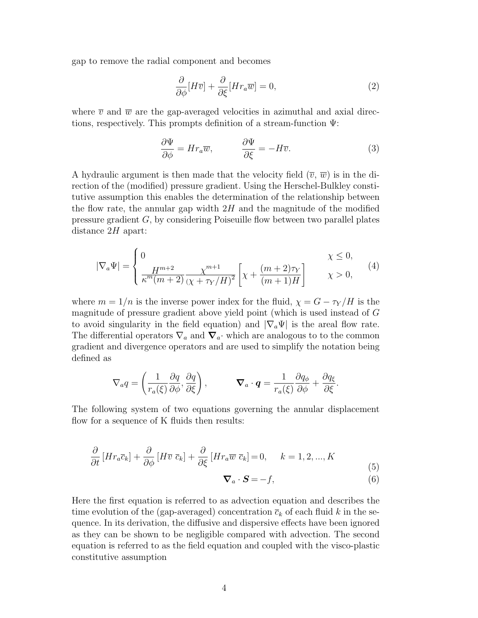gap to remove the radial component and becomes

$$
\frac{\partial}{\partial \phi}[H\overline{v}] + \frac{\partial}{\partial \xi}[Hr_a\overline{w}] = 0,\tag{2}
$$

where  $\overline{v}$  and  $\overline{w}$  are the gap-averaged velocities in azimuthal and axial directions, respectively. This prompts definition of a stream-function Ψ:

$$
\frac{\partial \Psi}{\partial \phi} = H r_a \overline{w}, \qquad \frac{\partial \Psi}{\partial \xi} = -H \overline{v}.
$$
 (3)

A hydraulic argument is then made that the velocity field  $(\overline{v}, \overline{w})$  is in the direction of the (modified) pressure gradient. Using the Herschel-Bulkley constitutive assumption this enables the determination of the relationship between the flow rate, the annular gap width  $2H$  and the magnitude of the modified pressure gradient G, by considering Poiseuille flow between two parallel plates distance  $2H$  apart:

$$
|\nabla_a \Psi| = \begin{cases} 0 & \chi \le 0, \\ \frac{H^{m+2}}{\kappa^m (m+2)} \frac{\chi^{m+1}}{(\chi + \tau_Y/H)^2} \left[ \chi + \frac{(m+2)\tau_Y}{(m+1)H} \right] & \chi > 0, \end{cases}
$$
(4)

where  $m = 1/n$  is the inverse power index for the fluid,  $\chi = G - \tau_Y/H$  is the magnitude of pressure gradient above yield point (which is used instead of G to avoid singularity in the field equation) and  $|\nabla_a \Psi|$  is the areal flow rate. The differential operators  $\nabla_a$  and  $\nabla_a$ · which are analogous to to the common gradient and divergence operators and are used to simplify the notation being defined as

$$
\nabla_a q = \left(\frac{1}{r_a(\xi)}\frac{\partial q}{\partial \phi}, \frac{\partial q}{\partial \xi}\right), \qquad \nabla_a \cdot \boldsymbol{q} = \frac{1}{r_a(\xi)}\frac{\partial q_\phi}{\partial \phi} + \frac{\partial q_\xi}{\partial \xi}.
$$

The following system of two equations governing the annular displacement flow for a sequence of K fluids then results:

$$
\frac{\partial}{\partial t} \left[ H r_a \overline{c}_k \right] + \frac{\partial}{\partial \phi} \left[ H \overline{v} \ \overline{c}_k \right] + \frac{\partial}{\partial \xi} \left[ H r_a \overline{w} \ \overline{c}_k \right] = 0, \quad k = 1, 2, ..., K
$$
\n(5)

$$
\nabla_a \cdot \mathbf{S} = -f,\tag{6}
$$

Here the first equation is referred to as advection equation and describes the time evolution of the (gap-averaged) concentration  $\bar{c}_k$  of each fluid k in the sequence. In its derivation, the diffusive and dispersive effects have been ignored as they can be shown to be negligible compared with advection. The second equation is referred to as the field equation and coupled with the visco-plastic constitutive assumption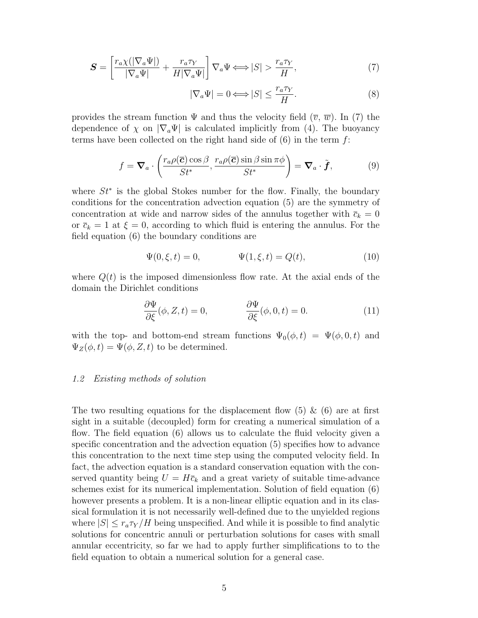$$
\mathbf{S} = \left[ \frac{r_a \chi(|\nabla_a \Psi|)}{|\nabla_a \Psi|} + \frac{r_a \tau_Y}{H |\nabla_a \Psi|} \right] \nabla_a \Psi \Longleftrightarrow |S| > \frac{r_a \tau_Y}{H},\tag{7}
$$

$$
|\nabla_a \Psi| = 0 \Longleftrightarrow |S| \le \frac{r_a \tau_Y}{H}.\tag{8}
$$

provides the stream function  $\Psi$  and thus the velocity field  $(\overline{v}, \overline{w})$ . In (7) the dependence of  $\chi$  on  $|\nabla_a \Psi|$  is calculated implicitly from (4). The buoyancy terms have been collected on the right hand side of  $(6)$  in the term  $f$ :

$$
f = \mathbf{\nabla}_a \cdot \left( \frac{r_a \rho(\overline{c}) \cos \beta}{St^*}, \frac{r_a \rho(\overline{c}) \sin \beta \sin \pi \phi}{St^*} \right) = \mathbf{\nabla}_a \cdot \tilde{\boldsymbol{f}},
$$
(9)

where  $St^*$  is the global Stokes number for the flow. Finally, the boundary conditions for the concentration advection equation (5) are the symmetry of concentration at wide and narrow sides of the annulus together with  $\bar{c}_k = 0$ or  $\overline{c}_k = 1$  at  $\xi = 0$ , according to which fluid is entering the annulus. For the field equation (6) the boundary conditions are

$$
\Psi(0,\xi,t) = 0, \qquad \Psi(1,\xi,t) = Q(t), \qquad (10)
$$

where  $Q(t)$  is the imposed dimensionless flow rate. At the axial ends of the domain the Dirichlet conditions

$$
\frac{\partial \Psi}{\partial \xi}(\phi, Z, t) = 0, \qquad \frac{\partial \Psi}{\partial \xi}(\phi, 0, t) = 0.
$$
 (11)

with the top- and bottom-end stream functions  $\Psi_0(\phi, t) = \Psi(\phi, 0, t)$  and  $\Psi_Z(\phi, t) = \Psi(\phi, Z, t)$  to be determined.

#### 1.2 Existing methods of solution

The two resulting equations for the displacement flow  $(5) \& (6)$  are at first sight in a suitable (decoupled) form for creating a numerical simulation of a flow. The field equation (6) allows us to calculate the fluid velocity given a specific concentration and the advection equation (5) specifies how to advance this concentration to the next time step using the computed velocity field. In fact, the advection equation is a standard conservation equation with the conserved quantity being  $U = H\bar{c}_k$  and a great variety of suitable time-advance schemes exist for its numerical implementation. Solution of field equation (6) however presents a problem. It is a non-linear elliptic equation and in its classical formulation it is not necessarily well-defined due to the unyielded regions where  $|S| \leq r_a \tau_Y/H$  being unspecified. And while it is possible to find analytic solutions for concentric annuli or perturbation solutions for cases with small annular eccentricity, so far we had to apply further simplifications to to the field equation to obtain a numerical solution for a general case.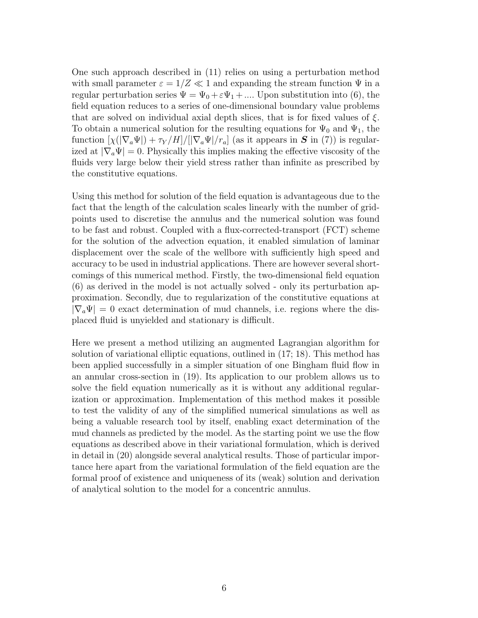One such approach described in (11) relies on using a perturbation method with small parameter  $\varepsilon = 1/Z \ll 1$  and expanding the stream function  $\Psi$  in a regular perturbation series  $\Psi = \Psi_0 + \varepsilon \Psi_1 + \dots$  Upon substitution into (6), the field equation reduces to a series of one-dimensional boundary value problems that are solved on individual axial depth slices, that is for fixed values of  $\xi$ . To obtain a numerical solution for the resulting equations for  $\Psi_0$  and  $\Psi_1$ , the function  $[\chi(|\nabla_a\Psi|)+\tau_Y/H]/[|\nabla_a\Psi|/r_a]$  (as it appears in S in (7)) is regularized at  $|\nabla_a \Psi| = 0$ . Physically this implies making the effective viscosity of the fluids very large below their yield stress rather than infinite as prescribed by the constitutive equations.

Using this method for solution of the field equation is advantageous due to the fact that the length of the calculation scales linearly with the number of gridpoints used to discretise the annulus and the numerical solution was found to be fast and robust. Coupled with a flux-corrected-transport (FCT) scheme for the solution of the advection equation, it enabled simulation of laminar displacement over the scale of the wellbore with sufficiently high speed and accuracy to be used in industrial applications. There are however several shortcomings of this numerical method. Firstly, the two-dimensional field equation (6) as derived in the model is not actually solved - only its perturbation approximation. Secondly, due to regularization of the constitutive equations at  $|\nabla_a\Psi|=0$  exact determination of mud channels, i.e. regions where the displaced fluid is unyielded and stationary is difficult.

Here we present a method utilizing an augmented Lagrangian algorithm for solution of variational elliptic equations, outlined in (17; 18). This method has been applied successfully in a simpler situation of one Bingham fluid flow in an annular cross-section in (19). Its application to our problem allows us to solve the field equation numerically as it is without any additional regularization or approximation. Implementation of this method makes it possible to test the validity of any of the simplified numerical simulations as well as being a valuable research tool by itself, enabling exact determination of the mud channels as predicted by the model. As the starting point we use the flow equations as described above in their variational formulation, which is derived in detail in (20) alongside several analytical results. Those of particular importance here apart from the variational formulation of the field equation are the formal proof of existence and uniqueness of its (weak) solution and derivation of analytical solution to the model for a concentric annulus.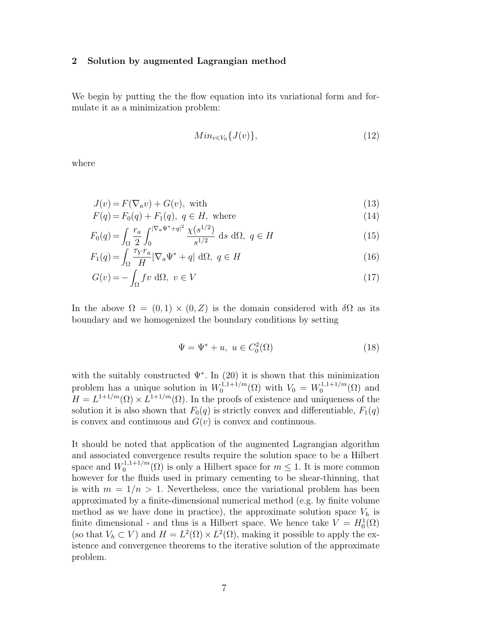#### 2 Solution by augmented Lagrangian method

We begin by putting the the flow equation into its variational form and formulate it as a minimization problem:

$$
Min_{v \in V_0} \{J(v)\},\tag{12}
$$

where

$$
J(v) = F(\nabla_a v) + G(v), \text{ with } (13)
$$

$$
F(q) = F_0(q) + F_1(q), \ q \in H, \text{ where}
$$
\n
$$
\int r_c \int |\nabla a \Psi^* + q|^2 \chi(s^{1/2})
$$
\n(14)

$$
F_0(q) = \int_{\Omega} \frac{r_a}{2} \int_0^{|\nabla_a \Psi^* + q|^2} \frac{\chi(s^{1/2})}{s^{1/2}} ds d\Omega, \ q \in H
$$
 (15)

$$
F_1(q) = \int_{\Omega} \frac{\tau_Y r_a}{H} |\nabla_a \Psi^* + q| \, d\Omega, \ q \in H \tag{16}
$$

$$
G(v) = -\int_{\Omega} fv \, d\Omega, \ v \in V \tag{17}
$$

In the above  $\Omega = (0,1) \times (0,Z)$  is the domain considered with  $\delta\Omega$  as its boundary and we homogenized the boundary conditions by setting

$$
\Psi = \Psi^* + u, \ u \in C_0^2(\Omega) \tag{18}
$$

with the suitably constructed  $\Psi^*$ . In (20) it is shown that this minimization problem has a unique solution in  $W_0^{1,1+1/m}$  $N_0^{1,1+1/m}(\Omega)$  with  $V_0 = W_0^{1,1+1/m}$  $\binom{1}{0}$  and  $\binom{1}{0}$  and  $H = L^{1+1/m}(\Omega) \times L^{1+1/m}(\Omega)$ . In the proofs of existence and uniqueness of the solution it is also shown that  $F_0(q)$  is strictly convex and differentiable,  $F_1(q)$ is convex and continuous and  $G(v)$  is convex and continuous.

It should be noted that application of the augmented Lagrangian algorithm and associated convergence results require the solution space to be a Hilbert space and  $W_0^{1,1+1/m}$  $\mathbb{C}_0^{1,1,\pm 1/m}(\Omega)$  is only a Hilbert space for  $m \leq 1$ . It is more common however for the fluids used in primary cementing to be shear-thinning, that is with  $m = 1/n > 1$ . Nevertheless, once the variational problem has been approximated by a finite-dimensional numerical method (e.g. by finite volume method as we have done in practice), the approximate solution space  $V_h$  is finite dimensional - and thus is a Hilbert space. We hence take  $V = H_0^1(\Omega)$ (so that  $V_h \subset V$ ) and  $H = L^2(\Omega) \times L^2(\Omega)$ , making it possible to apply the existence and convergence theorems to the iterative solution of the approximate problem.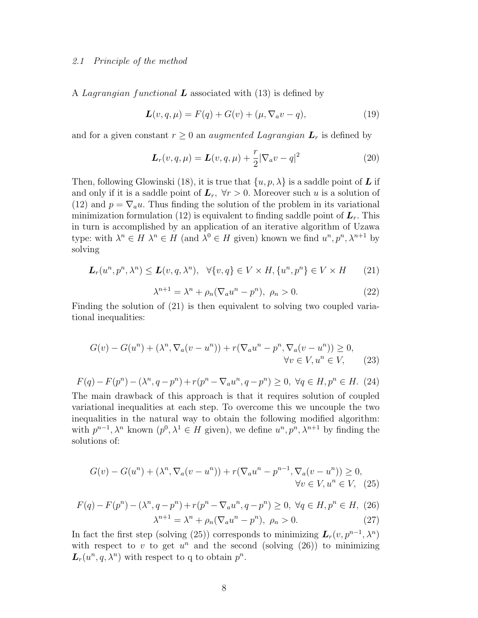#### 2.1 Principle of the method

A Lagrangian functional **L** associated with  $(13)$  is defined by

$$
\mathbf{L}(v, q, \mu) = F(q) + G(v) + (\mu, \nabla_a v - q), \tag{19}
$$

and for a given constant  $r \geq 0$  an *augmented Lagrangian*  $\mathbf{L}_r$  is defined by

$$
\mathbf{L}_r(v,q,\mu) = \mathbf{L}(v,q,\mu) + \frac{r}{2} |\nabla_a v - q|^2 \tag{20}
$$

Then, following Glowinski (18), it is true that  $\{u, p, \lambda\}$  is a saddle point of **L** if and only if it is a saddle point of  $\mathbf{L}_r$ ,  $\forall r > 0$ . Moreover such u is a solution of (12) and  $p = \nabla_a u$ . Thus finding the solution of the problem in its variational minimization formulation (12) is equivalent to finding saddle point of  $L_r$ . This in turn is accomplished by an application of an iterative algorithm of Uzawa type: with  $\lambda^n \in H$   $\lambda^n \in H$  (and  $\lambda^0 \in H$  given) known we find  $u^n, p^n, \lambda^{n+1}$  by solving

$$
L_r(u^n, p^n, \lambda^n) \le L(v, q, \lambda^n), \quad \forall \{v, q\} \in V \times H, \{u^n, p^n\} \in V \times H \qquad (21)
$$

$$
\lambda^{n+1} = \lambda^n + \rho_n (\nabla_a u^n - p^n), \ \rho_n > 0. \tag{22}
$$

Finding the solution of (21) is then equivalent to solving two coupled variational inequalities:

$$
G(v) - G(u^n) + (\lambda^n, \nabla_a(v - u^n)) + r(\nabla_a u^n - p^n, \nabla_a(v - u^n)) \ge 0,
$$
  

$$
\forall v \in V, u^n \in V,
$$
 (23)

$$
F(q) - F(p^n) - (\lambda^n, q - p^n) + r(p^n - \nabla_a u^n, q - p^n) \ge 0, \ \forall q \in H, p^n \in H. \tag{24}
$$

The main drawback of this approach is that it requires solution of coupled variational inequalities at each step. To overcome this we uncouple the two inequalities in the natural way to obtain the following modified algorithm: with  $p^{n-1}, \lambda^n$  known  $(p^0, \lambda^1 \in H$  given), we define  $u^n, p^n, \lambda^{n+1}$  by finding the solutions of:

$$
G(v) - G(un) + (\lambdan, \nabla_a(v - un)) + r(\nabla_a un - pn-1, \nabla_a(v - un)) \ge 0,
$$
  
\n
$$
\forall v \in V, un \in V, \quad (25)
$$

$$
F(q) - F(p^n) - (\lambda^n, q - p^n) + r(p^n - \nabla_a u^n, q - p^n) \ge 0, \ \forall q \in H, p^n \in H, \ (26)
$$

$$
\lambda^{n+1} = \lambda^n + \rho_n(\nabla_a u^n - p^n), \ \rho_n > 0. \tag{27}
$$

In fact the first step (solving (25)) corresponds to minimizing  $\mathbf{L}_r(v, p^{n-1}, \lambda^n)$ with respect to v to get  $u^n$  and the second (solving (26)) to minimizing  $\mathbf{L}_r(u^n, q, \lambda^n)$  with respect to q to obtain  $p^n$ .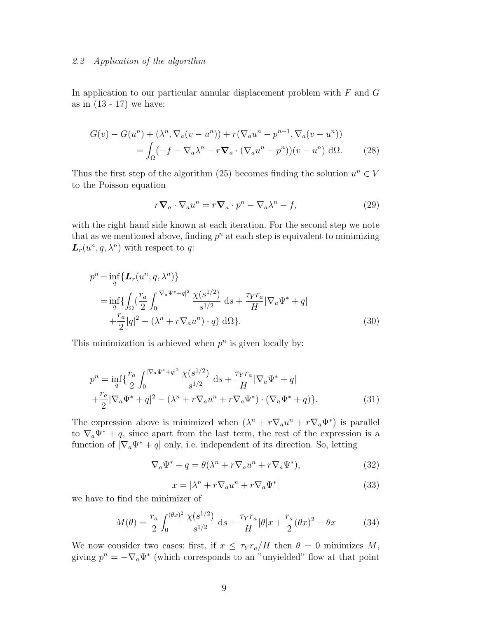#### 2.2 Application of the algorithm

In application to our particular annular displacement problem with  $F$  and  $G$ as in  $(13 - 17)$  we have:

$$
G(v) - G(u^n) + (\lambda^n, \nabla_a(v - u^n)) + r(\nabla_a u^n - p^{n-1}, \nabla_a(v - u^n))
$$
  
= 
$$
\int_{\Omega} (-f - \nabla_a \lambda^n - r \nabla_a \cdot (\nabla_a u^n - p^n))(v - u^n) d\Omega.
$$
 (28)

Thus the first step of the algorithm (25) becomes finding the solution  $u^n \in V$ to the Poisson equation

$$
r\mathbf{\nabla}_a \cdot \nabla_a u^n = r\mathbf{\nabla}_a \cdot p^n - \nabla_a \lambda^n - f,\tag{29}
$$

with the right hand side known at each iteration. For the second step we note that as we mentioned above, finding  $p^n$  at each step is equivalent to minimizing  $\mathbf{L}_r(u^n, q, \lambda^n)$  with respect to q:

$$
p^{n} = \inf_{q} \{ L_{r}(u^{n}, q, \lambda^{n}) \}
$$
  
= 
$$
\inf_{q} \{ \int_{\Omega} (\frac{r_{a}}{2} \int_{0}^{|\nabla_{a} \Psi^{*} + q|^{2}} \frac{\chi(s^{1/2})}{s^{1/2}} ds + \frac{\tau_{Y} r_{a}}{H} |\nabla_{a} \Psi^{*} + q|
$$
  
+ 
$$
\frac{r_{a}}{2} |q|^{2} - (\lambda^{n} + r \nabla_{a} u^{n}) \cdot q) d\Omega \}.
$$
 (30)

This minimization is achieved when  $p^n$  is given locally by:

$$
p^{n} = \inf_{q} \left\{ \frac{r_{a}}{2} \int_{0}^{|\nabla_{a} \Psi^{*} + q|^{2}} \frac{\chi(s^{1/2})}{s^{1/2}} ds + \frac{\tau_{Y} r_{a}}{H} |\nabla_{a} \Psi^{*} + q| + \frac{r_{a}}{2} |\nabla_{a} \Psi^{*} + q|^{2} - (\lambda^{n} + r \nabla_{a} u^{n} + r \nabla_{a} \Psi^{*}) \cdot (\nabla_{a} \Psi^{*} + q) \right\}.
$$
\n(31)

The expression above is minimized when  $(\lambda^n + r\nabla_a u^n + r\nabla_a \Psi^*)$  is parallel to  $\nabla_a \Psi^* + q$ , since apart from the last term, the rest of the expression is a function of  $|\nabla_a \Psi^* + q|$  only, i.e. independent of its direction. So, letting

$$
\nabla_a \Psi^* + q = \theta(\lambda^n + r \nabla_a u^n + r \nabla_a \Psi^*), \tag{32}
$$

$$
x = |\lambda^n + r \nabla_a u^n + r \nabla_a \Psi^*|
$$
\n(33)

we have to find the minimizer of

$$
M(\theta) = \frac{r_a}{2} \int_0^{(\theta x)^2} \frac{\chi(s^{1/2})}{s^{1/2}} ds + \frac{\tau_Y r_a}{H} |\theta| x + \frac{r_a}{2} (\theta x)^2 - \theta x \tag{34}
$$

We now consider two cases: first, if  $x \leq \tau_Y r_a/H$  then  $\theta = 0$  minimizes M, giving  $p^{n} = -\nabla_{a} \Psi^{*}$  (which corresponds to an "unyielded" flow at that point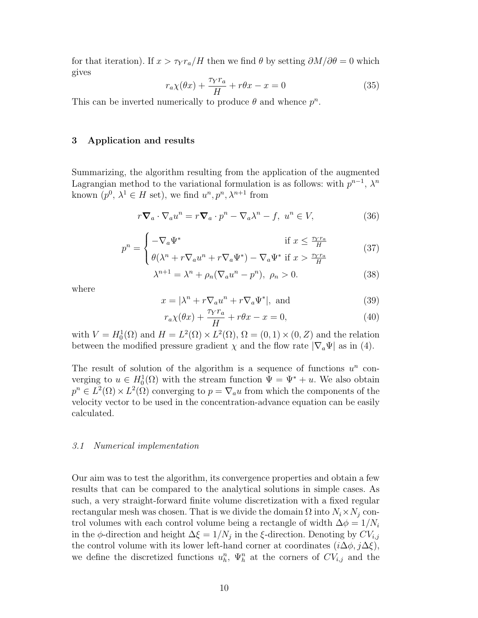for that iteration). If  $x > \tau Y_a/H$  then we find  $\theta$  by setting  $\partial M/\partial \theta = 0$  which gives

$$
r_a \chi(\theta x) + \frac{\tau_Y r_a}{H} + r\theta x - x = 0 \tag{35}
$$

This can be inverted numerically to produce  $\theta$  and whence  $p^n$ .

#### 3 Application and results

Summarizing, the algorithm resulting from the application of the augmented Lagrangian method to the variational formulation is as follows: with  $p^{n-1}$ ,  $\lambda^n$ known  $(p^0, \lambda^1 \in H \text{ set})$ , we find  $u^n, p^n, \lambda^{n+1}$  from

$$
r\boldsymbol{\nabla}_a \cdot \nabla_a u^n = r\boldsymbol{\nabla}_a \cdot p^n - \nabla_a \lambda^n - f, \ u^n \in V,
$$
\n(36)

$$
p^{n} = \begin{cases} -\nabla_{a} \Psi^{*} & \text{if } x \leq \frac{\tau_{Y} r_{a}}{H} \\ \theta(\lambda^{n} + r \nabla_{a} u^{n} + r \nabla_{a} \Psi^{*}) - \nabla_{a} \Psi^{*} & \text{if } x > \frac{\tau_{Y} r_{a}}{H} \end{cases}
$$
(37)

$$
\lambda^{n+1} = \lambda^n + \rho_n (\nabla_a u^n - p^n), \ \rho_n > 0. \tag{38}
$$

where

$$
x = |\lambda^n + r \nabla_a u^n + r \nabla_a \Psi^*|, \text{ and } (39)
$$

$$
r_a \chi(\theta x) + \frac{\tau_Y r_a}{H} + r\theta x - x = 0,
$$
\n(40)

with  $V = H_0^1(\Omega)$  and  $H = L^2(\Omega) \times L^2(\Omega)$ ,  $\Omega = (0, 1) \times (0, Z)$  and the relation between the modified pressure gradient  $\chi$  and the flow rate  $|\nabla_a \Psi|$  as in (4).

The result of solution of the algorithm is a sequence of functions  $u^n$  converging to  $u \in H_0^1(\Omega)$  with the stream function  $\Psi = \Psi^* + u$ . We also obtain  $p^{n} \in L^{2}(\Omega) \times L^{2}(\Omega)$  converging to  $p = \nabla_{a} u$  from which the components of the velocity vector to be used in the concentration-advance equation can be easily calculated.

#### 3.1 Numerical implementation

Our aim was to test the algorithm, its convergence properties and obtain a few results that can be compared to the analytical solutions in simple cases. As such, a very straight-forward finite volume discretization with a fixed regular rectangular mesh was chosen. That is we divide the domain  $\Omega$  into  $N_i \times N_j$  control volumes with each control volume being a rectangle of width  $\Delta \phi = 1/N_i$ in the  $\phi$ -direction and height  $\Delta \xi = 1/N_j$  in the  $\xi$ -direction. Denoting by  $CV_{i,j}$ the control volume with its lower left-hand corner at coordinates  $(i\Delta\phi, j\Delta\xi)$ , we define the discretized functions  $u_h^n$ ,  $\Psi_h^n$  at the corners of  $CV_{i,j}$  and the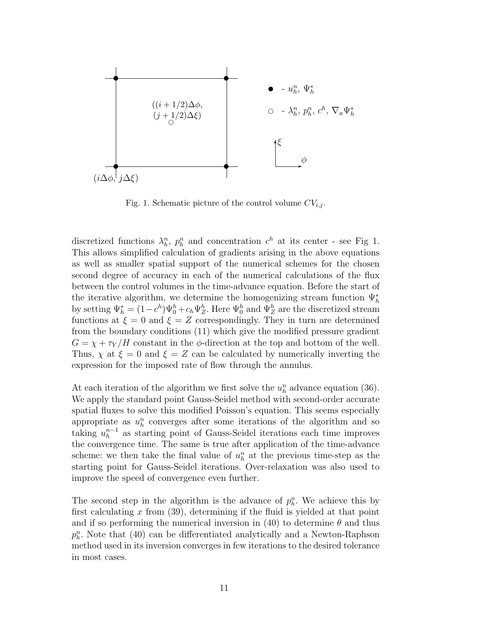

Fig. 1. Schematic picture of the control volume  $CV_{i,j}$ .

discretized functions  $\lambda_h^n$ ,  $p_h^n$  and concentration  $c^h$  at its center - see Fig 1. This allows simplified calculation of gradients arising in the above equations as well as smaller spatial support of the numerical schemes for the chosen second degree of accuracy in each of the numerical calculations of the flux between the control volumes in the time-advance equation. Before the start of the iterative algorithm, we determine the homogenizing stream function  $\Psi_h^*$ by setting  $\Psi_h^* = (1 - c^h)\Psi_0^h + c_h \Psi_Z^h$ . Here  $\Psi_0^h$  and  $\Psi_Z^h$  are the discretized stream functions at  $\xi = 0$  and  $\xi = Z$  correspondingly. They in turn are determined from the boundary conditions (11) which give the modified pressure gradient  $G = \chi + \tau_Y/H$  constant in the  $\phi$ -direction at the top and bottom of the well. Thus,  $\chi$  at  $\xi = 0$  and  $\xi = Z$  can be calculated by numerically inverting the expression for the imposed rate of flow through the annulus.

At each iteration of the algorithm we first solve the  $u_h^n$  advance equation (36). We apply the standard point Gauss-Seidel method with second-order accurate spatial fluxes to solve this modified Poisson's equation. This seems especially appropriate as  $u_h^n$  converges after some iterations of the algorithm and so taking  $u_h^{n-1}$  as starting point of Gauss-Seidel iterations each time improves the convergence time. The same is true after application of the time-advance scheme: we then take the final value of  $u_h^n$  at the previous time-step as the starting point for Gauss-Seidel iterations. Over-relaxation was also used to improve the speed of convergence even further.

The second step in the algorithm is the advance of  $p_h^n$ . We achieve this by first calculating  $x$  from (39), determining if the fluid is yielded at that point and if so performing the numerical inversion in (40) to determine  $\theta$  and thus  $p_h^n$ . Note that (40) can be differentiated analytically and a Newton-Raphson method used in its inversion converges in few iterations to the desired tolerance in most cases.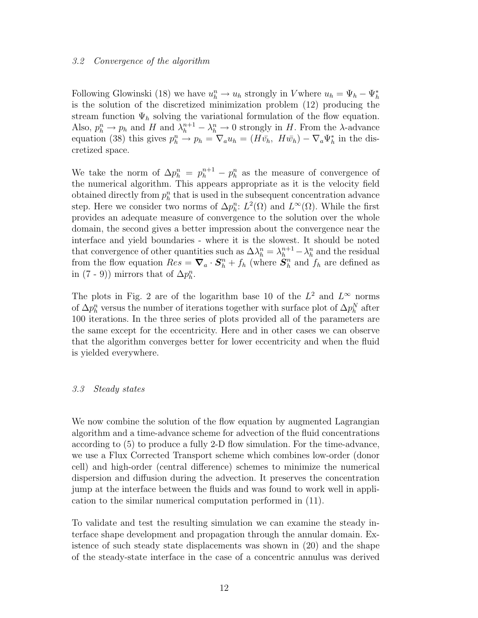#### 3.2 Convergence of the algorithm

Following Glowinski (18) we have  $u_h^n \to u_h$  strongly in V where  $u_h = \Psi_h - \Psi_h^*$ is the solution of the discretized minimization problem (12) producing the stream function  $\Psi_h$  solving the variational formulation of the flow equation. Also,  $p_h^n \to p_h$  and H and  $\lambda_h^{n+1} - \lambda_h^n \to 0$  strongly in H. From the  $\lambda$ -advance equation (38) this gives  $p_h^n \to p_h = \nabla_a u_h = (H\bar{v_h}, H\bar{w_h}) - \nabla_a \Psi_h^*$  in the discretized space.

We take the norm of  $\Delta p_h^n = p_h^{n+1} - p_h^n$  as the measure of convergence of the numerical algorithm. This appears appropriate as it is the velocity field obtained directly from  $p_h^n$  that is used in the subsequent concentration advance step. Here we consider two norms of  $\Delta p_h^n: L^2(\Omega)$  and  $L^{\infty}(\Omega)$ . While the first provides an adequate measure of convergence to the solution over the whole domain, the second gives a better impression about the convergence near the interface and yield boundaries - where it is the slowest. It should be noted that convergence of other quantities such as  $\Delta \lambda_h^n = \lambda_h^{n+1} - \lambda_h^n$  and the residual from the flow equation  $Res = \nabla_a \cdot \mathbf{S}_h^n + f_h$  (where  $\mathbf{S}_h^n$  $\binom{n}{h}$  and  $f_h$  are defined as in (7 - 9)) mirrors that of  $\Delta p_h^n$ .

The plots in Fig. 2 are of the logarithm base 10 of the  $L^2$  and  $L^{\infty}$  norms of  $\Delta p_h^n$  versus the number of iterations together with surface plot of  $\Delta p_h^N$  after 100 iterations. In the three series of plots provided all of the parameters are the same except for the eccentricity. Here and in other cases we can observe that the algorithm converges better for lower eccentricity and when the fluid is yielded everywhere.

#### 3.3 Steady states

We now combine the solution of the flow equation by augmented Lagrangian algorithm and a time-advance scheme for advection of the fluid concentrations according to (5) to produce a fully 2-D flow simulation. For the time-advance, we use a Flux Corrected Transport scheme which combines low-order (donor cell) and high-order (central difference) schemes to minimize the numerical dispersion and diffusion during the advection. It preserves the concentration jump at the interface between the fluids and was found to work well in application to the similar numerical computation performed in (11).

To validate and test the resulting simulation we can examine the steady interface shape development and propagation through the annular domain. Existence of such steady state displacements was shown in (20) and the shape of the steady-state interface in the case of a concentric annulus was derived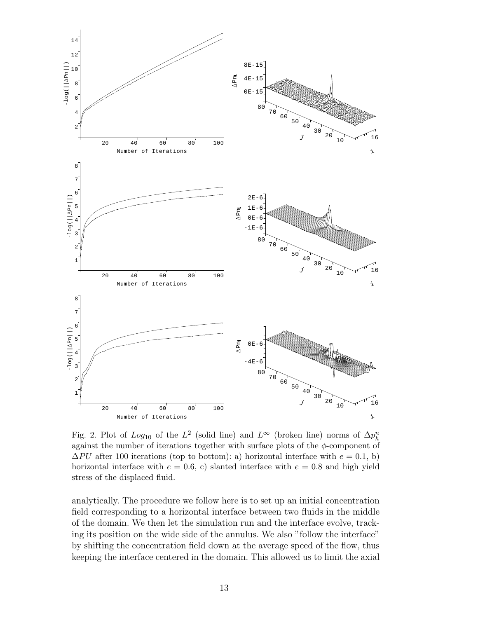

Fig. 2. Plot of  $Log_{10}$  of the  $L^2$  (solid line) and  $L^{\infty}$  (broken line) norms of  $\Delta p_h^n$ against the number of iterations together with surface plots of the  $\phi$ -component of  $\Delta PU$  after 100 iterations (top to bottom): a) horizontal interface with  $e = 0.1$ , b) horizontal interface with  $e = 0.6$ , c) slanted interface with  $e = 0.8$  and high yield stress of the displaced fluid.

analytically. The procedure we follow here is to set up an initial concentration field corresponding to a horizontal interface between two fluids in the middle of the domain. We then let the simulation run and the interface evolve, tracking its position on the wide side of the annulus. We also "follow the interface" by shifting the concentration field down at the average speed of the flow, thus keeping the interface centered in the domain. This allowed us to limit the axial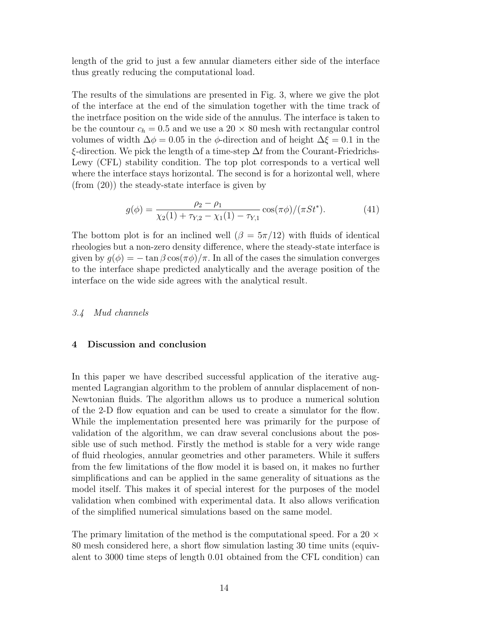length of the grid to just a few annular diameters either side of the interface thus greatly reducing the computational load.

The results of the simulations are presented in Fig. 3, where we give the plot of the interface at the end of the simulation together with the time track of the inetrface position on the wide side of the annulus. The interface is taken to be the countour  $c_h = 0.5$  and we use a 20  $\times$  80 mesh with rectangular control volumes of width  $\Delta \phi = 0.05$  in the  $\phi$ -direction and of height  $\Delta \xi = 0.1$  in the  $\xi$ -direction. We pick the length of a time-step  $\Delta t$  from the Courant-Friedrichs-Lewy (CFL) stability condition. The top plot corresponds to a vertical well where the interface stays horizontal. The second is for a horizontal well, where (from (20)) the steady-state interface is given by

$$
g(\phi) = \frac{\rho_2 - \rho_1}{\chi_2(1) + \tau_{Y,2} - \chi_1(1) - \tau_{Y,1}} \cos(\pi \phi) / (\pi St^*).
$$
 (41)

The bottom plot is for an inclined well  $(\beta = 5\pi/12)$  with fluids of identical rheologies but a non-zero density difference, where the steady-state interface is given by  $g(\phi) = -\tan \beta \cos(\pi \phi)/\pi$ . In all of the cases the simulation converges to the interface shape predicted analytically and the average position of the interface on the wide side agrees with the analytical result.

#### 3.4 Mud channels

#### 4 Discussion and conclusion

In this paper we have described successful application of the iterative augmented Lagrangian algorithm to the problem of annular displacement of non-Newtonian fluids. The algorithm allows us to produce a numerical solution of the 2-D flow equation and can be used to create a simulator for the flow. While the implementation presented here was primarily for the purpose of validation of the algorithm, we can draw several conclusions about the possible use of such method. Firstly the method is stable for a very wide range of fluid rheologies, annular geometries and other parameters. While it suffers from the few limitations of the flow model it is based on, it makes no further simplifications and can be applied in the same generality of situations as the model itself. This makes it of special interest for the purposes of the model validation when combined with experimental data. It also allows verification of the simplified numerical simulations based on the same model.

The primary limitation of the method is the computational speed. For a 20  $\times$ 80 mesh considered here, a short flow simulation lasting 30 time units (equivalent to 3000 time steps of length 0.01 obtained from the CFL condition) can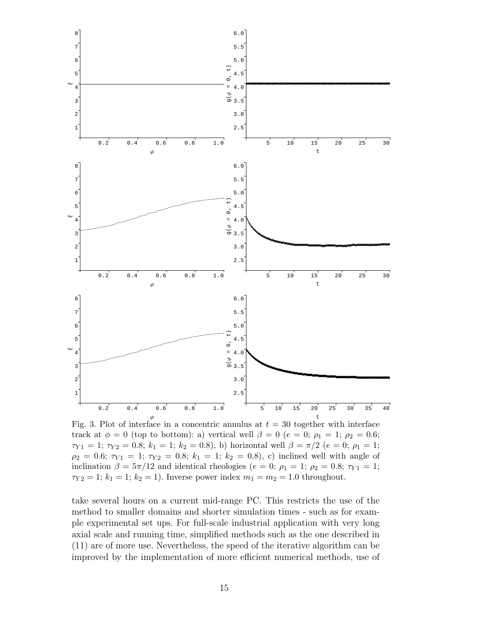

Fig. 3. Plot of interface in a concentric annulus at  $t = 30$  together with interface track at  $\phi = 0$  (top to bottom): a) vertical well  $\beta = 0$  ( $e = 0$ ;  $\rho_1 = 1$ ;  $\rho_2 = 0.6$ ;  $\tau_{Y1} = 1$ ;  $\tau_{Y2} = 0.8$ ;  $k_1 = 1$ ;  $k_2 = 0.8$ ), b) horizontal well  $\beta = \pi/2$  ( $e = 0$ ;  $\rho_1 = 1$ ;  $\rho_2 = 0.6; \tau_{Y1} = 1; \tau_{Y2} = 0.8; k_1 = 1; k_2 = 0.8$ , c) inclined well with angle of inclination  $\beta = 5\pi/12$  and identical rheologies ( $e = 0$ ;  $\rho_1 = 1$ ;  $\rho_2 = 0.8$ ;  $\tau_{Y1} = 1$ ;  $\tau_{Y2} = 1$ ;  $k_1 = 1$ ;  $k_2 = 1$ ). Inverse power index  $m_1 = m_2 = 1.0$  throughout.

take several hours on a current mid-range PC. This restricts the use of the method to smaller domains and shorter simulation times - such as for example experimental set ups. For full-scale industrial application with very long axial scale and running time, simplified methods such as the one described in (11) are of more use. Nevertheless, the speed of the iterative algorithm can be improved by the implementation of more efficient numerical methods, use of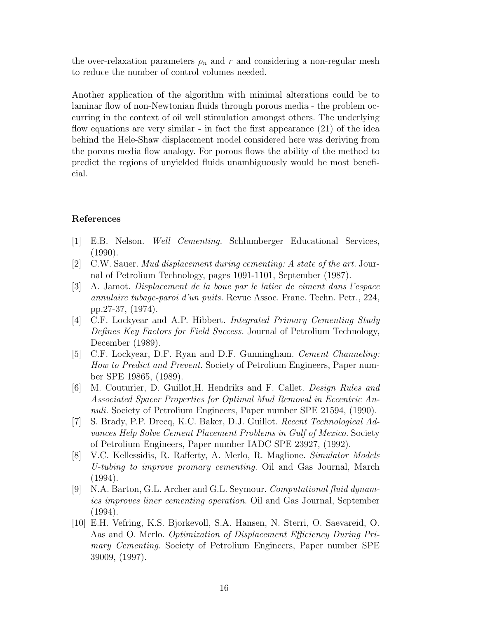the over-relaxation parameters  $\rho_n$  and r and considering a non-regular mesh to reduce the number of control volumes needed.

Another application of the algorithm with minimal alterations could be to laminar flow of non-Newtonian fluids through porous media - the problem occurring in the context of oil well stimulation amongst others. The underlying flow equations are very similar - in fact the first appearance  $(21)$  of the idea behind the Hele-Shaw displacement model considered here was deriving from the porous media flow analogy. For porous flows the ability of the method to predict the regions of unyielded fluids unambiguously would be most beneficial.

# References

- [1] E.B. Nelson. Well Cementing. Schlumberger Educational Services, (1990).
- [2] C.W. Sauer. Mud displacement during cementing: A state of the art. Journal of Petrolium Technology, pages 1091-1101, September (1987).
- [3] A. Jamot. Displacement de la boue par le latier de ciment dans l'espace annulaire tubage-paroi d'un puits. Revue Assoc. Franc. Techn. Petr., 224, pp.27-37, (1974).
- [4] C.F. Lockyear and A.P. Hibbert. Integrated Primary Cementing Study Defines Key Factors for Field Success. Journal of Petrolium Technology, December (1989).
- [5] C.F. Lockyear, D.F. Ryan and D.F. Gunningham. Cement Channeling: How to Predict and Prevent. Society of Petrolium Engineers, Paper number SPE 19865, (1989).
- [6] M. Couturier, D. Guillot,H. Hendriks and F. Callet. Design Rules and Associated Spacer Properties for Optimal Mud Removal in Eccentric Annuli. Society of Petrolium Engineers, Paper number SPE 21594, (1990).
- [7] S. Brady, P.P. Drecq, K.C. Baker, D.J. Guillot. Recent Technological Advances Help Solve Cement Placement Problems in Gulf of Mexico. Society of Petrolium Engineers, Paper number IADC SPE 23927, (1992).
- [8] V.C. Kellessidis, R. Rafferty, A. Merlo, R. Maglione. Simulator Models U-tubing to improve promary cementing. Oil and Gas Journal, March (1994).
- [9] N.A. Barton, G.L. Archer and G.L. Seymour. Computational fluid dynamics improves liner cementing operation. Oil and Gas Journal, September (1994).
- [10] E.H. Vefring, K.S. Bjorkevoll, S.A. Hansen, N. Sterri, O. Saevareid, O. Aas and O. Merlo. Optimization of Displacement Efficiency During Primary Cementing. Society of Petrolium Engineers, Paper number SPE 39009, (1997).